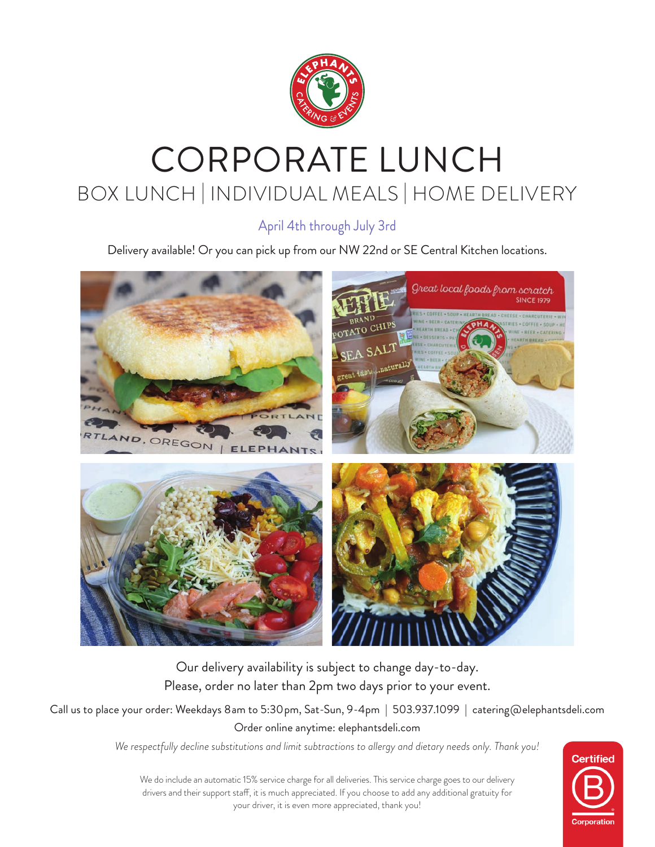

# CORPORATE LUNCH BOX LUNCH | INDIVIDUAL MEALS | HOME DELIVERY

April 4th through July 3rd

Delivery available! Or you can pick up from our NW 22nd or SE Central Kitchen locations.



Our delivery availability is subject to change day-to-day. Please, order no later than 2pm two days prior to your event.

Call us to place your order: Weekdays 8am to 5:30pm, Sat-Sun, 9-4pm | 503.937.1099 | catering@elephantsdeli.com Order online anytime: elephantsdeli.com

*We respectfully decline substitutions and limit subtractions to allergy and dietary needs only. Thank you!*



We do include an automatic 15% service charge for all deliveries. This service charge goes to our delivery drivers and their support staff, it is much appreciated. If you choose to add any additional gratuity for your driver, it is even more appreciated, thank you!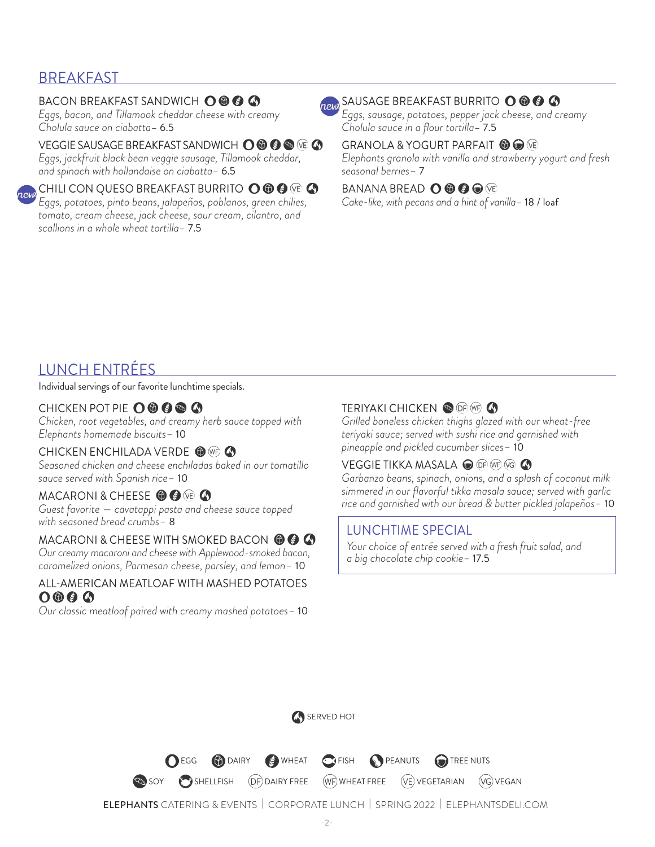### **BREAKFAST**

### BACON BREAKFAST SANDWICH O **O O**

*Eggs, bacon, and Tillamook cheddar cheese with creamy Cholula sauce on ciabatta*– 6.5

### VEGGIE SAUSAGE BREAKFAST SANDWICH **O © © ©** (© A

*Eggs, jackfruit black bean veggie sausage, Tillamook cheddar, and spinach with hollandaise on ciabatta*– 6.5

CHILI CON QUESO BREAKFAST BURRITO  $\mathbf{O} \circledast \mathbf{O}$  (10)  $\mathbf{O}$ *Eggs, potatoes, pinto beans, jalapeños, poblanos, green chilies, tomato, cream cheese, jack cheese, sour cream, cilantro, and scallions in a whole wheat tortilla*– 7.5

## **REW SAUSAGE BREAKFAST BURRITO O @ @ @**

*Eggs, sausage, potatoes, pepper jack cheese, and creamy Cholula sauce in a flour tortilla*– 7.5

#### GRANOLA & YOGURT PARFAIT <sup>1</sup>  $\bullet$

*Elephants granola with vanilla and strawberry yogurt and fresh seasonal berries–* 7

### BANANA BREAD **O © © ©** VE

*Cake-like, with pecans and a hint of vanilla*– 18 / loaf

### LUNCH ENTRÉES

Individual servings of our favorite lunchtime specials.

### CHICKEN POT PIE O ® ® ® ©

*Chicken, root vegetables, and creamy herb sauce topped with Elephants homemade biscuits–* 10

#### CHICKEN ENCHILADA VERDE <sup>1</sup>

*Seasoned chicken and cheese enchiladas baked in our tomatillo sauce served with Spanish rice–* 10

### MACARONI & CHEESE **O @** VE **4**

*Guest favorite — cavatappi pasta and cheese sauce topped with seasoned bread crumbs–* 8

#### MACARONI & CHEESE WITH SMOKED BACON © © ©

*Our creamy macaroni and cheese with Applewood-smoked bacon, caramelized onions, Parmesan cheese, parsley, and lemon–* 10

#### ALL-AMERICAN MEATLOAF WITH MASHED POTATOES  $0000$

*Our classic meatloaf paired with creamy mashed potatoes–* 10

### TERIYAKI CHICKEN OF **OF WE**

*Grilled boneless chicken thighs glazed with our wheat-free teriyaki sauce; served with sushi rice and garnished with pineapple and pickled cucumber slices–* 10

### VEGGIE TIKKA MASALA @ OF WF VG **4**

*Garbanzo beans, spinach, onions, and a splash of coconut milk simmered in our flavorful tikka masala sauce; served with garlic rice and garnished with our bread & butter pickled jalapeños–* 10

### LUNCHTIME SPECIAL

 *Your choice of entrée served with a fresh fruit salad, and a big chocolate chip cookie–* 17.5

SERVED HOT

**O** EGG **(b)** DAIRY **C**) WHEAT **C** FISH **O** PEANUTS **C** TREE NUTS

SHELLFISH (DF) DAIRY FREE (WF) WHEAT FREE (VE) VEGETARIAN (VG) VEGAN

ELEPHANTS CATERING & EVENTS | CORPORATE LUNCH | SPRING 2022 | ELEPHANTSDELI.COM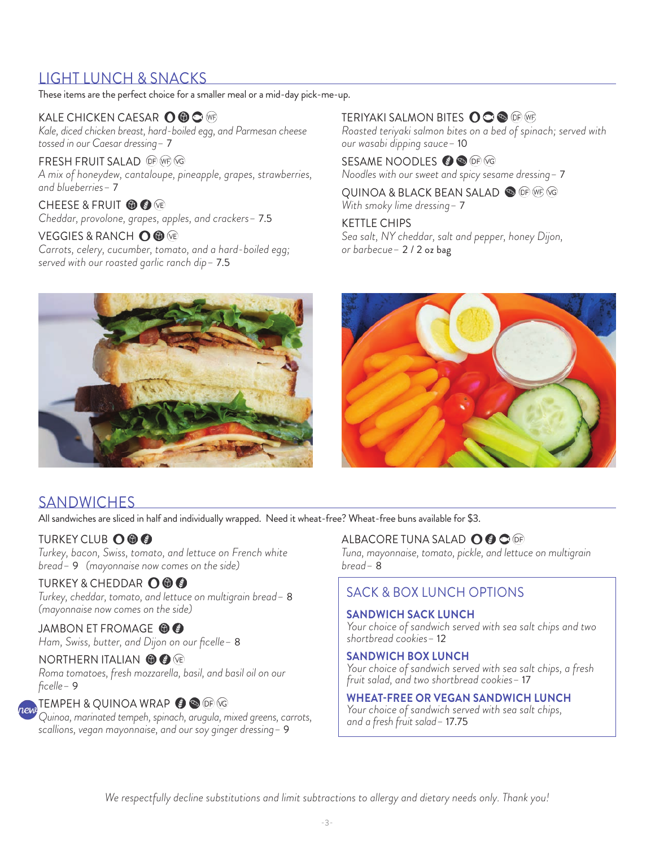### LIGHT LUNCH & SNACKS

These items are the perfect choice for a smaller meal or a mid-day pick-me-up.

### KALE CHICKEN CAESAR  $\mathbf{\mathsf{O}} \mathbf{\odot} \mathbf{\mathsf{O}}$  (mp

*Kale, diced chicken breast, hard-boiled egg, and Parmesan cheese tossed in our Caesar dressing–* 7

FRESH FRUIT SALAD OF WE VG *A mix of honeydew, cantaloupe, pineapple, grapes, strawberries, and blueberries–* 7

CHEESE & FRUIT **to @** VE *Cheddar, provolone, grapes, apples, and crackers–* 7.5

VEGGIES & RANCH O ® VE *Carrots, celery, cucumber, tomato, and a hard-boiled egg; served with our roasted garlic ranch dip–* 7.5

### TERIYAKI SALMON BITES OOO OP WE

*Roasted teriyaki salmon bites on a bed of spinach; served with our wasabi dipping sauce–* 10

SESAME NOODLES  $\bullet$  **®** DP  $\heartsuit$ *Noodles with our sweet and spicy sesame dressing–* 7

QUINOA & BLACK BEAN SALAD SO OF WE VG *With smoky lime dressing–* 7

KETTLE CHIPS *Sea salt, NY cheddar, salt and pepper, honey Dijon, or barbecue–* 2 / 2 oz bag





### **SANDWICHES**

All sandwiches are sliced in half and individually wrapped. Need it wheat-free? Wheat-free buns available for \$3.

### **TURKEY CLUB OOO**

*Turkey, bacon, Swiss, tomato, and lettuce on French white bread–* 9 *(mayonnaise now comes on the side)*

### TURKEY & CHEDDAR O O O

*Turkey, cheddar, tomato, and lettuce on multigrain bread–* 8 *(mayonnaise now comes on the side)*

### JAMBON ET FROMAGE <sup>O</sup>

*Ham, Swiss, butter, and Dijon on our ficelle–* 8

#### NORTHERN ITALIAN **6 C** VE

*Roma tomatoes, fresh mozzarella, basil, and basil oil on our ficelle–* 9

#### TEMPEH & QUINOA WRAP  $\bullet$  S of G

*Quinoa, marinated tempeh, spinach, arugula, mixed greens, carrots, scallions, vegan mayonnaise, and our soy ginger dressing–* 9

### ALBACORE TUNA SALAD O @ O @

*Tuna, mayonnaise, tomato, pickle, and lettuce on multigrain bread–* 8

### SACK & BOX LUNCH OPTIONS

#### **SANDWICH SACK LUNCH**

 *Your choice of sandwich served with sea salt chips and two shortbread cookies–* 12

#### **SANDWICH BOX LUNCH**

 *Your choice of sandwich served with sea salt chips, a fresh fruit salad, and two shortbread cookies–* 17

### **WHEAT-FREE OR VEGAN SANDWICH LUNCH**

 *Your choice of sandwich served with sea salt chips, and a fresh fruit salad–* 17.75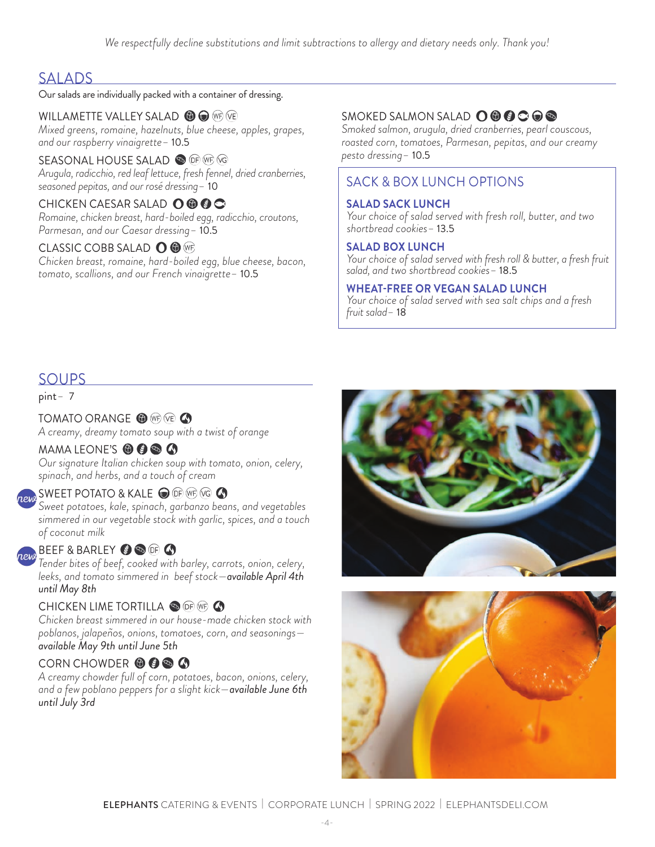### SALADS

### Our salads are individually packed with a container of dressing.

WILLAMETTE VALLEY SALAD **6 C** WP VE *Mixed greens, romaine, hazelnuts, blue cheese, apples, grapes, and our raspberry vinaigrette–* 10.5

#### SEASONAL HOUSE SALAD OF THE TO *Arugula, radicchio, red leaf lettuce, fresh fennel, dried cranberries, seasoned pepitas, and our rosé dressing–* 10

CHICKEN CAESAR SALAD O © © C *Romaine, chicken breast, hard-boiled egg, radicchio, croutons, Parmesan, and our Caesar dressing–* 10.5

### CLASSIC COBB SALAD **O** @ WF

*Chicken breast, romaine, hard-boiled egg, blue cheese, bacon, tomato, scallions, and our French vinaigrette–* 10.5

### SMOKED SALMON SALAD **O © © © ©**

*Smoked salmon, arugula, dried cranberries, pearl couscous, roasted corn, tomatoes, Parmesan, pepitas, and our creamy pesto dressing–* 10.5

### SACK & BOX LUNCH OPTIONS

### **SALAD SACK LUNCH**

 *Your choice of salad served with fresh roll, butter, and two shortbread cookies–* 13.5

### **SALAD BOX LUNCH**

 *Your choice of salad served with fresh roll & butter, a fresh fruit salad, and two shortbread cookies–* 18.5

### **WHEAT-FREE OR VEGAN SALAD LUNCH**

 *Your choice of salad served with sea salt chips and a fresh fruit salad–* 18

### SOUPS

pint*–* 7

TOMATO ORANGE <sup>O</sup> WE VE **4** *A creamy, dreamy tomato soup with a twist of orange*

### MAMA LEONE'S **O @ @ @**

*Our signature Italian chicken soup with tomato, onion, celery, spinach, and herbs, and a touch of cream*

### SWEET POTATO & KALE  $\bigcirc$  of we vg  $\bigcirc$

*Sweet potatoes, kale, spinach, garbanzo beans, and vegetables simmered in our vegetable stock with garlic, spices, and a touch of coconut milk*

### $\mathbf B$  BEEF & BARLEY  $\mathbf \bullet$   $\mathbf \bullet$  of  $\mathbf \bullet$

*Tender bites of beef, cooked with barley, carrots, onion, celery, leeks, and tomato simmered in beef stock—available April 4th until May 8th*

### CHICKEN LIME TORTILLA SOF WF 4

*Chicken breast simmered in our house-made chicken stock with poblanos, jalapeños, onions, tomatoes, corn, and seasonings available May 9th until June 5th*

### CORN CHOWDER **to @ @ @**

*A creamy chowder full of corn, potatoes, bacon, onions, celery, and a few poblano peppers for a slight kick—available June 6th until July 3rd*



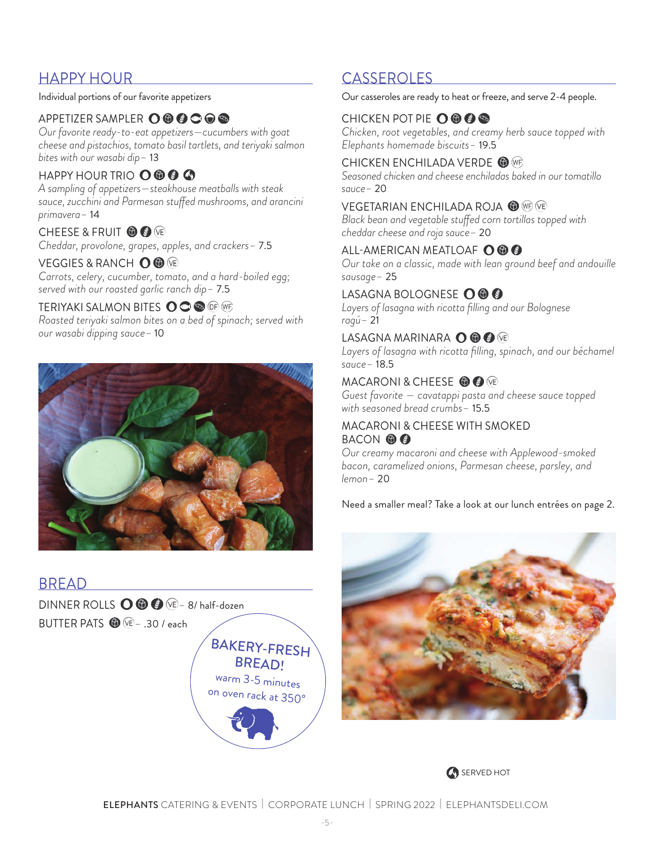### HAPPY HOUR CASSEROLES

Individual portions of our favorite appetizers

### APPETIZER SAMPLER **O O @ C** O <sup>®</sup>

*Our favorite ready-to-eat appetizers—cucumbers with goat cheese and pistachios, tomato basil tartlets, and teriyaki salmon bites with our wasabi dip–* 13

### HAPPY HOUR TRIO O **O @ @**

*A sampling of appetizers—steakhouse meatballs with steak sauce, zucchini and Parmesan stuffed mushrooms, and arancini primavera–* 14

### CHEESE & FRUIT **to @** ve

*Cheddar, provolone, grapes, apples, and crackers–* 7.5

### VEGGIES & RANCH **O ©** VE

*Carrots, celery, cucumber, tomato, and a hard-boiled egg; served with our roasted garlic ranch dip–* 7.5

### TERIYAKI SALMON BITES **O O O** (If (If )

*Roasted teriyaki salmon bites on a bed of spinach; served with our wasabi dipping sauce–* 10



### BREAD

DINNER ROLLS  $\bigcirc$   $\bigcirc$   $\bigcirc$   $\bigcirc$   $\rightarrow$  8/ half-dozen BUTTER PATS *–* .30 / each



Our casseroles are ready to heat or freeze, and serve 2-4 people.

### CHICKEN POT PIE  $\mathbf{O} \mathbf{\Theta} \mathbf{\Theta} \mathbf{\Theta}$

*Chicken, root vegetables, and creamy herb sauce topped with Elephants homemade biscuits–* 19.5

### CHICKEN ENCHILADA VERDE <sup>O WF</sup>

*Seasoned chicken and cheese enchiladas baked in our tomatillo sauce–* 20

### VEGETARIAN ENCHILADA ROJA <sup>O WF</sup>

*Black bean and vegetable stuffed corn tortillas topped with cheddar cheese and roja sauce–* 20

### ALL-AMERICAN MEATLOAF **O © ©**

*Our take on a classic, made with lean ground beef and andouille sausage–* 25

### LASAGNA BOLOGNESE O ® ®

*Layers of lasagna with ricotta filling and our Bolognese ragú–* 21

### LASAGNA MARINARA O **O O** VE

Layers of lasagna with ricotta filling, spinach, and our béchamel *sauce–* 18.5

### MACARONI & CHEESE **@ @** VE

*Guest favorite — cavatappi pasta and cheese sauce topped with seasoned bread crumbs–* 15.5

### MACARONI & CHEESE WITH SMOKED BACON **OO**

*Our creamy macaroni and cheese with Applewood-smoked bacon, caramelized onions, Parmesan cheese, parsley, and lemon–* 20

Need a smaller meal? Take a look at our lunch entrées on page 2.



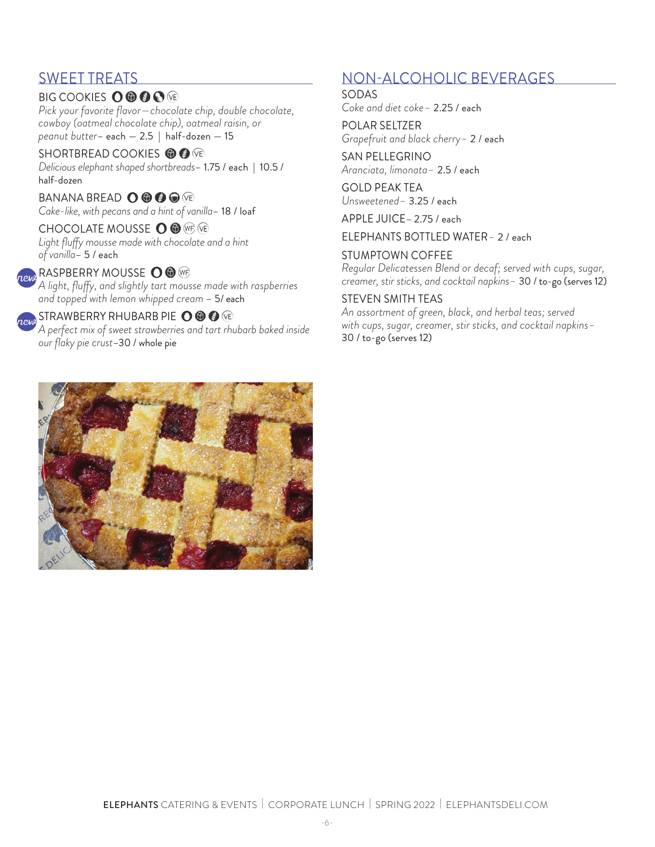### SWEET TREATS

### **BIG COOKIES OOOOO**

*Pick your favorite flavor—chocolate chip, double chocolate, cowboy (oatmeal chocolate chip), oatmeal raisin, or peanut butter*– each — 2.5 | half-dozen — 15

SHORTBREAD COOKIES **O O @** *Delicious elephant shaped shortbreads*– 1.75 / each | 10.5 / half-dozen

BANANA BREAD **O © © ©** VE *Cake-like, with pecans and a hint of vanilla*– 18 / loaf

CHOCOLATE MOUSSE O <sup>®</sup> *Light fluffy mousse made with chocolate and a hint of vanilla*– 5 / each

### RASPBERRY MOUSSE O ®

*A light, fluffy, and slightly tart mousse made with raspberries and topped with lemon whipped cream* – 5/ each

### **ORDAN STRAWBERRY RHUBARB PIE O ® ®** ®

*A perfect mix of sweet strawberries and tart rhubarb baked inside our flaky pie crust*–30 / whole pie

### NON-ALCOHOLIC BEVERAGES

SODAS

*Coke and diet coke–* 2.25 / each

POLAR SELTZER *Grapefruit and black cherry–* 2 / each

SAN PELLEGRINO *Aranciata, limonata–* 2.5 / each

GOLD PEAK TEA *Unsweetened–* 3.25 / each

APPLE JUICE– 2.75 / each

ELEPHANTS BOTTLED WATER*–* 2 / each

### STUMPTOWN COFFEE

*Regular Delicatessen Blend or decaf; served with cups, sugar, creamer, stir sticks, and cocktail napkins–* 30 / to-go (serves 12)

### STEVEN SMITH TEAS

*An assortment of green, black, and herbal teas; served with cups, sugar, creamer, stir sticks, and cocktail napkins–*  30 / to-go (serves 12)